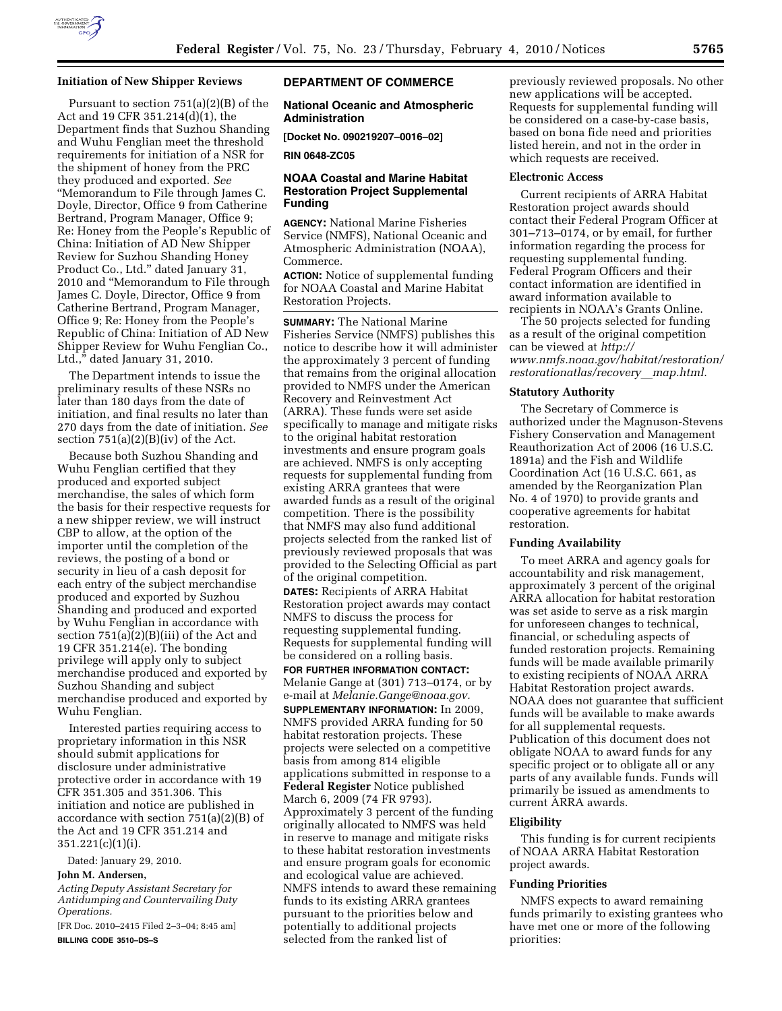

## **Initiation of New Shipper Reviews**

Pursuant to section 751(a)(2)(B) of the Act and 19 CFR 351.214(d)(1), the Department finds that Suzhou Shanding and Wuhu Fenglian meet the threshold requirements for initiation of a NSR for the shipment of honey from the PRC they produced and exported. *See*  ''Memorandum to File through James C. Doyle, Director, Office 9 from Catherine Bertrand, Program Manager, Office 9; Re: Honey from the People's Republic of China: Initiation of AD New Shipper Review for Suzhou Shanding Honey Product Co., Ltd.'' dated January 31, 2010 and ''Memorandum to File through James C. Doyle, Director, Office 9 from Catherine Bertrand, Program Manager, Office 9; Re: Honey from the People's Republic of China: Initiation of AD New Shipper Review for Wuhu Fenglian Co., Ltd.,'' dated January 31, 2010.

The Department intends to issue the preliminary results of these NSRs no later than 180 days from the date of initiation, and final results no later than 270 days from the date of initiation. *See*  section  $751(a)(2)(B)(iv)$  of the Act.

Because both Suzhou Shanding and Wuhu Fenglian certified that they produced and exported subject merchandise, the sales of which form the basis for their respective requests for a new shipper review, we will instruct CBP to allow, at the option of the importer until the completion of the reviews, the posting of a bond or security in lieu of a cash deposit for each entry of the subject merchandise produced and exported by Suzhou Shanding and produced and exported by Wuhu Fenglian in accordance with section 751(a)(2)(B)(iii) of the Act and 19 CFR 351.214(e). The bonding privilege will apply only to subject merchandise produced and exported by Suzhou Shanding and subject merchandise produced and exported by Wuhu Fenglian.

Interested parties requiring access to proprietary information in this NSR should submit applications for disclosure under administrative protective order in accordance with 19 CFR 351.305 and 351.306. This initiation and notice are published in accordance with section 751(a)(2)(B) of the Act and 19 CFR 351.214 and 351.221(c)(1)(i).

Dated: January 29, 2010.

#### **John M. Andersen,**

*Acting Deputy Assistant Secretary for Antidumping and Countervailing Duty Operations.* 

[FR Doc. 2010–2415 Filed 2–3–04; 8:45 am] **BILLING CODE 3510–DS–S** 

## **DEPARTMENT OF COMMERCE**

### **National Oceanic and Atmospheric Administration**

**[Docket No. 090219207–0016–02]** 

**RIN 0648-ZC05** 

## **NOAA Coastal and Marine Habitat Restoration Project Supplemental Funding**

**AGENCY:** National Marine Fisheries Service (NMFS), National Oceanic and Atmospheric Administration (NOAA), Commerce.

**ACTION:** Notice of supplemental funding for NOAA Coastal and Marine Habitat Restoration Projects.

**SUMMARY:** The National Marine Fisheries Service (NMFS) publishes this notice to describe how it will administer the approximately 3 percent of funding that remains from the original allocation provided to NMFS under the American Recovery and Reinvestment Act (ARRA). These funds were set aside specifically to manage and mitigate risks to the original habitat restoration investments and ensure program goals are achieved. NMFS is only accepting requests for supplemental funding from existing ARRA grantees that were awarded funds as a result of the original competition. There is the possibility that NMFS may also fund additional projects selected from the ranked list of previously reviewed proposals that was provided to the Selecting Official as part of the original competition. **DATES:** Recipients of ARRA Habitat Restoration project awards may contact NMFS to discuss the process for requesting supplemental funding. Requests for supplemental funding will be considered on a rolling basis.

**FOR FURTHER INFORMATION CONTACT:**  Melanie Gange at (301) 713–0174, or by e-mail at *Melanie.Gange@noaa.gov.* 

**SUPPLEMENTARY INFORMATION:** In 2009, NMFS provided ARRA funding for 50 habitat restoration projects. These projects were selected on a competitive basis from among 814 eligible applications submitted in response to a **Federal Register** Notice published March 6, 2009 (74 FR 9793). Approximately 3 percent of the funding originally allocated to NMFS was held in reserve to manage and mitigate risks to these habitat restoration investments and ensure program goals for economic and ecological value are achieved. NMFS intends to award these remaining funds to its existing ARRA grantees pursuant to the priorities below and potentially to additional projects selected from the ranked list of

previously reviewed proposals. No other new applications will be accepted. Requests for supplemental funding will be considered on a case-by-case basis, based on bona fide need and priorities listed herein, and not in the order in which requests are received.

#### **Electronic Access**

Current recipients of ARRA Habitat Restoration project awards should contact their Federal Program Officer at 301–713–0174, or by email, for further information regarding the process for requesting supplemental funding. Federal Program Officers and their contact information are identified in award information available to recipients in NOAA's Grants Online.

The 50 projects selected for funding as a result of the original competition can be viewed at *http:// www.nmfs.noaa.gov/habitat/restoration/ restorationatlas/recovery*l*map.html.* 

#### **Statutory Authority**

The Secretary of Commerce is authorized under the Magnuson-Stevens Fishery Conservation and Management Reauthorization Act of 2006 (16 U.S.C. 1891a) and the Fish and Wildlife Coordination Act (16 U.S.C. 661, as amended by the Reorganization Plan No. 4 of 1970) to provide grants and cooperative agreements for habitat restoration.

# **Funding Availability**

To meet ARRA and agency goals for accountability and risk management, approximately 3 percent of the original ARRA allocation for habitat restoration was set aside to serve as a risk margin for unforeseen changes to technical, financial, or scheduling aspects of funded restoration projects. Remaining funds will be made available primarily to existing recipients of NOAA ARRA Habitat Restoration project awards. NOAA does not guarantee that sufficient funds will be available to make awards for all supplemental requests. Publication of this document does not obligate NOAA to award funds for any specific project or to obligate all or any parts of any available funds. Funds will primarily be issued as amendments to current ARRA awards.

#### **Eligibility**

This funding is for current recipients of NOAA ARRA Habitat Restoration project awards.

#### **Funding Priorities**

NMFS expects to award remaining funds primarily to existing grantees who have met one or more of the following priorities: